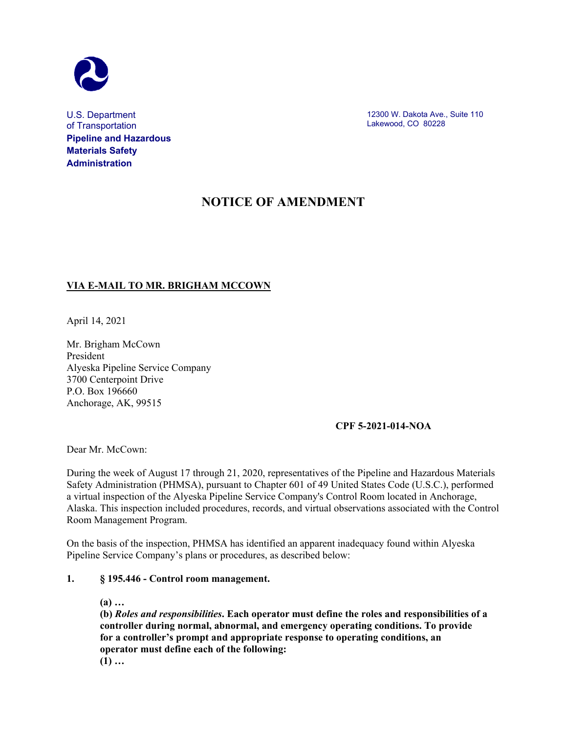

U.S. Department of Transportation **Pipeline and Hazardous Materials Safety Administration**

12300 W. Dakota Ave., Suite 110 Lakewood, CO 80228

# **NOTICE OF AMENDMENT**

# **VIA E-MAIL TO MR. BRIGHAM MCCOWN**

April 14, 2021

Mr. Brigham McCown President Alyeska Pipeline Service Company 3700 Centerpoint Drive P.O. Box 196660 Anchorage, AK, 99515

# **CPF 5-2021-014-NOA**

Dear Mr. McCown:

During the week of August 17 through 21, 2020, representatives of the Pipeline and Hazardous Materials Safety Administration (PHMSA), pursuant to Chapter 601 of 49 United States Code (U.S.C.), performed a virtual inspection of the Alyeska Pipeline Service Company's Control Room located in Anchorage, Alaska. This inspection included procedures, records, and virtual observations associated with the Control Room Management Program.

On the basis of the inspection, PHMSA has identified an apparent inadequacy found within Alyeska Pipeline Service Company's plans or procedures, as described below:

#### **1. § 195.446 - Control room management.**

**(a) …**

**(b)** *Roles and responsibilities***. Each operator must define the roles and responsibilities of a controller during normal, abnormal, and emergency operating conditions. To provide for a controller's prompt and appropriate response to operating conditions, an operator must define each of the following: (1) …**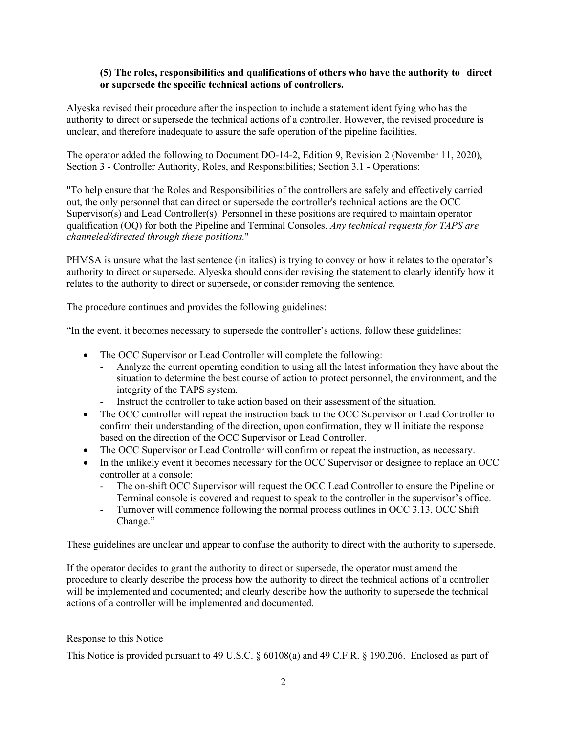# **(5) The roles, responsibilities and qualifications of others who have the authority to direct or supersede the specific technical actions of controllers.**

Alyeska revised their procedure after the inspection to include a statement identifying who has the authority to direct or supersede the technical actions of a controller. However, the revised procedure is unclear, and therefore inadequate to assure the safe operation of the pipeline facilities.

The operator added the following to Document DO-14-2, Edition 9, Revision 2 (November 11, 2020), Section 3 - Controller Authority, Roles, and Responsibilities; Section 3.1 - Operations:

"To help ensure that the Roles and Responsibilities of the controllers are safely and effectively carried out, the only personnel that can direct or supersede the controller's technical actions are the OCC Supervisor(s) and Lead Controller(s). Personnel in these positions are required to maintain operator qualification (OQ) for both the Pipeline and Terminal Consoles. *Any technical requests for TAPS are channeled/directed through these positions.*"

PHMSA is unsure what the last sentence (in italics) is trying to convey or how it relates to the operator's authority to direct or supersede. Alyeska should consider revising the statement to clearly identify how it relates to the authority to direct or supersede, or consider removing the sentence.

The procedure continues and provides the following guidelines:

"In the event, it becomes necessary to supersede the controller's actions, follow these guidelines:

- The OCC Supervisor or Lead Controller will complete the following:
	- Analyze the current operating condition to using all the latest information they have about the situation to determine the best course of action to protect personnel, the environment, and the integrity of the TAPS system.
	- Instruct the controller to take action based on their assessment of the situation.
- The OCC controller will repeat the instruction back to the OCC Supervisor or Lead Controller to confirm their understanding of the direction, upon confirmation, they will initiate the response based on the direction of the OCC Supervisor or Lead Controller.
- The OCC Supervisor or Lead Controller will confirm or repeat the instruction, as necessary.
- In the unlikely event it becomes necessary for the OCC Supervisor or designee to replace an OCC controller at a console:
	- The on-shift OCC Supervisor will request the OCC Lead Controller to ensure the Pipeline or Terminal console is covered and request to speak to the controller in the supervisor's office.
	- Turnover will commence following the normal process outlines in OCC 3.13, OCC Shift Change."

These guidelines are unclear and appear to confuse the authority to direct with the authority to supersede.

If the operator decides to grant the authority to direct or supersede, the operator must amend the procedure to clearly describe the process how the authority to direct the technical actions of a controller will be implemented and documented; and clearly describe how the authority to supersede the technical actions of a controller will be implemented and documented.

# Response to this Notice

This Notice is provided pursuant to 49 U.S.C. § 60108(a) and 49 C.F.R. § 190.206. Enclosed as part of